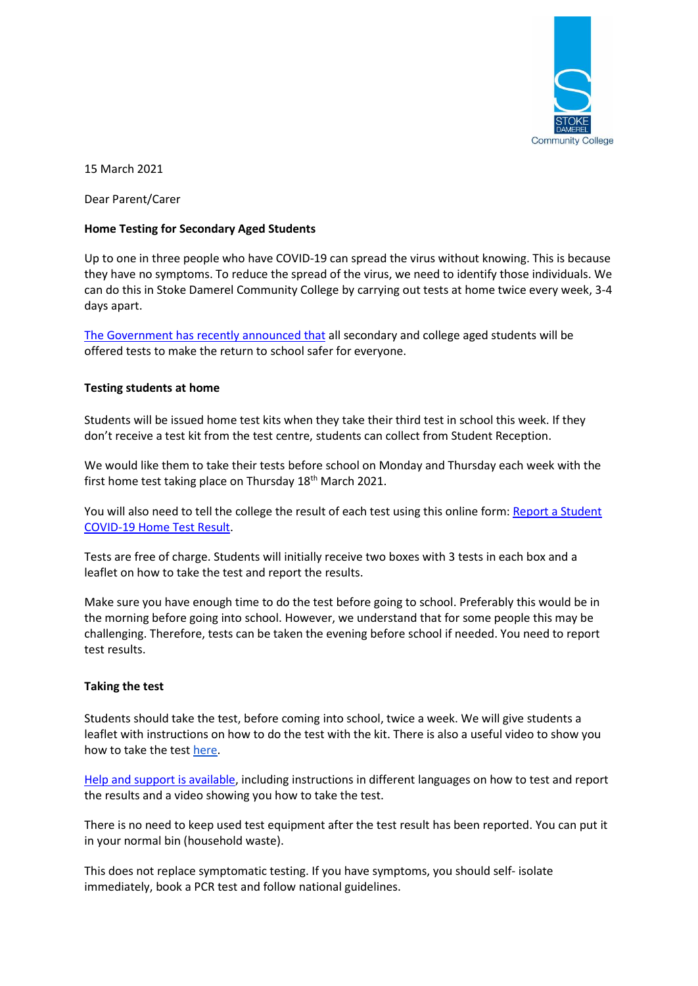

15 March 2021

Dear Parent/Carer

# **Home Testing for Secondary Aged Students**

Up to one in three people who have COVID-19 can spread the virus without knowing. This is because they have no symptoms. To reduce the spread of the virus, we need to identify those individuals. We can do this in Stoke Damerel Community College by carrying out tests at home twice every week, 3-4 days apart.

[The Government has recently announced that](https://www.gov.uk/guidance/rapid-lateral-flow-testing-for-households-and-bubbles-of-school-pupils-and-staff) all secondary and college aged students will be offered tests to make the return to school safer for everyone.

# **Testing students at home**

Students will be issued home test kits when they take their third test in school this week. If they don't receive a test kit from the test centre, students can collect from Student Reception.

We would like them to take their tests before school on Monday and Thursday each week with the first home test taking place on Thursday  $18<sup>th</sup>$  March 2021.

You will also need to tell the college the result of each test using this online form: Report a Student [COVID-19 Home Test Result.](https://forms.gle/tZt488jdzy3pLAd17)

Tests are free of charge. Students will initially receive two boxes with 3 tests in each box and a leaflet on how to take the test and report the results.

Make sure you have enough time to do the test before going to school. Preferably this would be in the morning before going into school. However, we understand that for some people this may be challenging. Therefore, tests can be taken the evening before school if needed. You need to report test results.

### **Taking the test**

Students should take the test, before coming into school, twice a week. We will give students a leaflet with instructions on how to do the test with the kit. There is also a useful video to show you how to take the test [here.](https://www.youtube.com/watch?v=S9XR8RZxKNo&list=PLvaBZskxS7tzQYlVg7lwH5uxAD9UrSzGJ&index=1)

[Help and support is available,](https://www.gov.uk/guidance/covid-19-self-test-help) including instructions in different languages on how to test and report the results and a video showing you how to take the test.

There is no need to keep used test equipment after the test result has been reported. You can put it in your normal bin (household waste).

This does not replace symptomatic testing. If you have symptoms, you should self- isolate immediately, book a [PCR test](https://www.gov.uk/get-coronavirus-test%22%20/t%20%22_blank) and follow [national guidelines.](https://www.nhs.uk/conditions/coronavirus-covid-19/symptoms/%22%20/t%20%22_blank)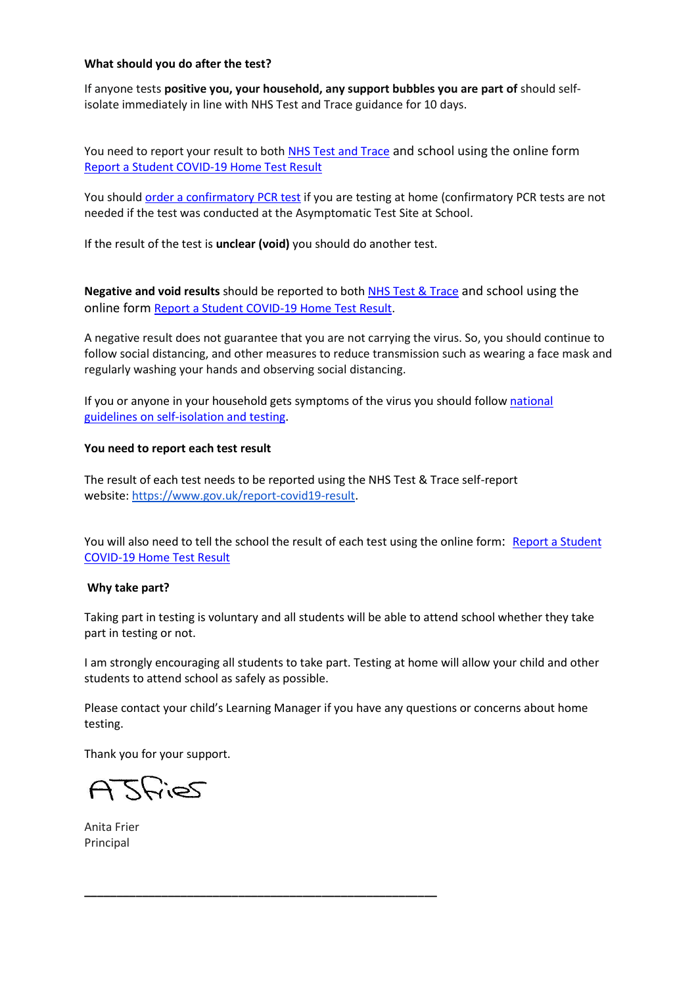### **What should you do after the test?**

If anyone tests **positive you, your household, any support bubbles you are part of** should selfisolate immediately in line with NHS Test and Trace guidance for 10 days.

You need to report your result to both [NHS Test and Trace](https://www.gov.uk/report-covid19-result) and school using the online form [Report a Student COVID-19 Home Test Result](https://forms.gle/tZt488jdzy3pLAd17)

You should [order a confirmatory PCR test](https://www.gov.uk/get-coronavirus-test) if you are testing at home (confirmatory PCR tests are not needed if the test was conducted at the Asymptomatic Test Site at School.

If the result of the test is **unclear (void)** you should do another test.

**Negative and void results** should be reported to both [NHS Test & Trace](https://www.gov.uk/report-covid19-result) and school using the online form [Report a Student COVID-19 Home Test Result.](https://forms.gle/tZt488jdzy3pLAd17)

A negative result does not guarantee that you are not carrying the virus. So, you should continue to follow social distancing, and other measures to reduce transmission such as wearing a face mask and regularly washing your hands and observing social distancing.

If you or anyone in your household gets symptoms of the virus you should follow national [guidelines](https://www.nhs.uk/conditions/coronavirus-covid-19/symptoms/) on self-isolation and testing.

#### **You need to report each test result**

The result of each test needs to be reported using the NHS Test & Trace self-report website: [https://www.gov.uk/report-covid19-result.](https://www.gov.uk/report-covid19-result)

You will also need to tell the school the result of each test using the online form: Report a Student [COVID-19 Home Test Result](https://forms.gle/tZt488jdzy3pLAd17)

### **Why take part?**

Taking part in testing is voluntary and all students will be able to attend school whether they take part in testing or not.

I am strongly encouraging all students to take part. Testing at home will allow your child and other students to attend school as safely as possible.

Please contact your child's Learning Manager if you have any questions or concerns about home testing.

**\_\_\_\_\_\_\_\_\_\_\_\_\_\_\_\_\_\_\_\_\_\_\_\_\_\_\_\_\_\_\_\_\_\_\_\_\_\_\_\_\_\_\_\_\_\_\_\_\_\_\_\_\_\_\_**

Thank you for your support.

Stries

Anita Frier Principal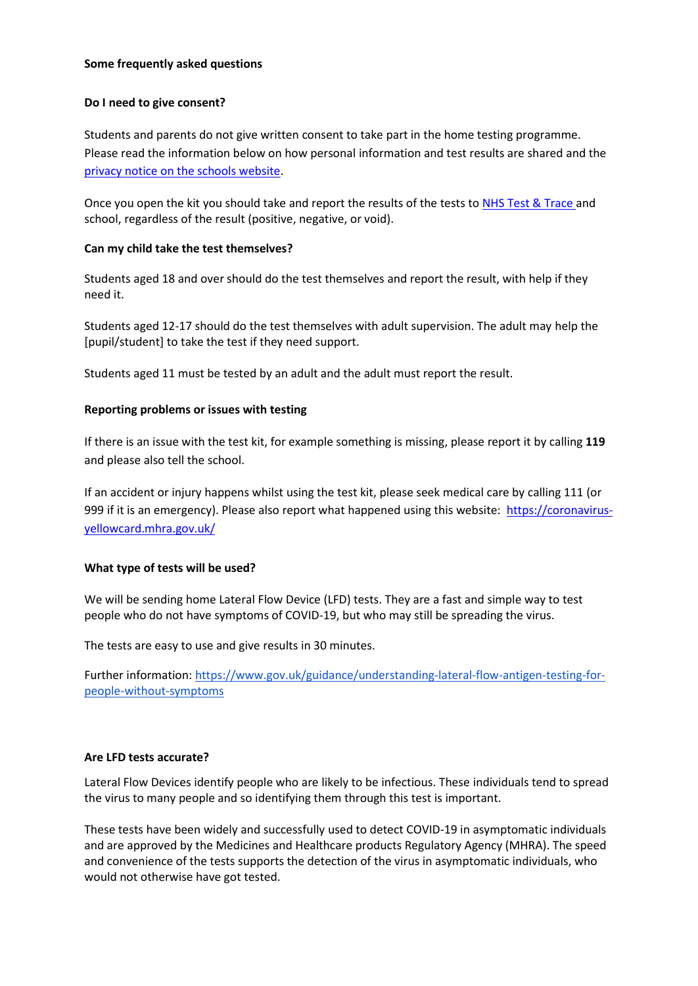### **Some frequently asked questions**

# **Do I need to give consent?**

Students and parents do not give written consent to take part in the home testing programme. Please read the information below on how personal information and test results are shared and the privacy notice [on the schools website.](https://files.schudio.com/stokedamerel/files/covid2021/Privacy_Notice_-_Pupil_school_and_college_testing.pdf)

Once you open the kit you should take and report the results of the tests to [NHS Test & Trace](https://www.gov.uk/report-covid19-result) and school, regardless of the result (positive, negative, or void).

# **Can my child take the test themselves?**

Students aged 18 and over should do the test themselves and report the result, with help if they need it.

Students aged 12-17 should do the test themselves with adult supervision. The adult may help the [pupil/student] to take the test if they need support.

Students aged 11 must be tested by an adult and the adult must report the result.

# **Reporting problems or issues with testing**

If there is an issue with the test kit, for example something is missing, please report it by calling **119** and please also tell the school.

If an accident or injury happens whilst using the test kit, please seek medical care by calling 111 (or 999 if it is an emergency). Please also report what happened using this website: [https://coronavirus](https://coronavirus-yellowcard.mhra.gov.uk/)[yellowcard.mhra.gov.uk/](https://coronavirus-yellowcard.mhra.gov.uk/)

### **What type of tests will be used?**

We will be sending home Lateral Flow Device (LFD) tests. They are a fast and simple way to test people who do not have symptoms of COVID-19, but who may still be spreading the virus.

The tests are easy to use and give results in 30 minutes.

Further information[: https://www.gov.uk/guidance/understanding-lateral-flow-antigen-testing-for](https://www.gov.uk/guidance/understanding-lateral-flow-antigen-testing-for-people-without-symptoms)[people-without-symptoms](https://www.gov.uk/guidance/understanding-lateral-flow-antigen-testing-for-people-without-symptoms)

### **Are LFD tests accurate?**

Lateral Flow Devices identify people who are likely to be infectious. These individuals tend to spread the virus to many people and so identifying them through this test is important. 

These tests have been widely and successfully used to detect COVID-19 in asymptomatic individuals and are approved by the Medicines and Healthcare products Regulatory Agency (MHRA). The speed and convenience of the tests supports the detection of the virus in asymptomatic individuals, who would not otherwise have got tested.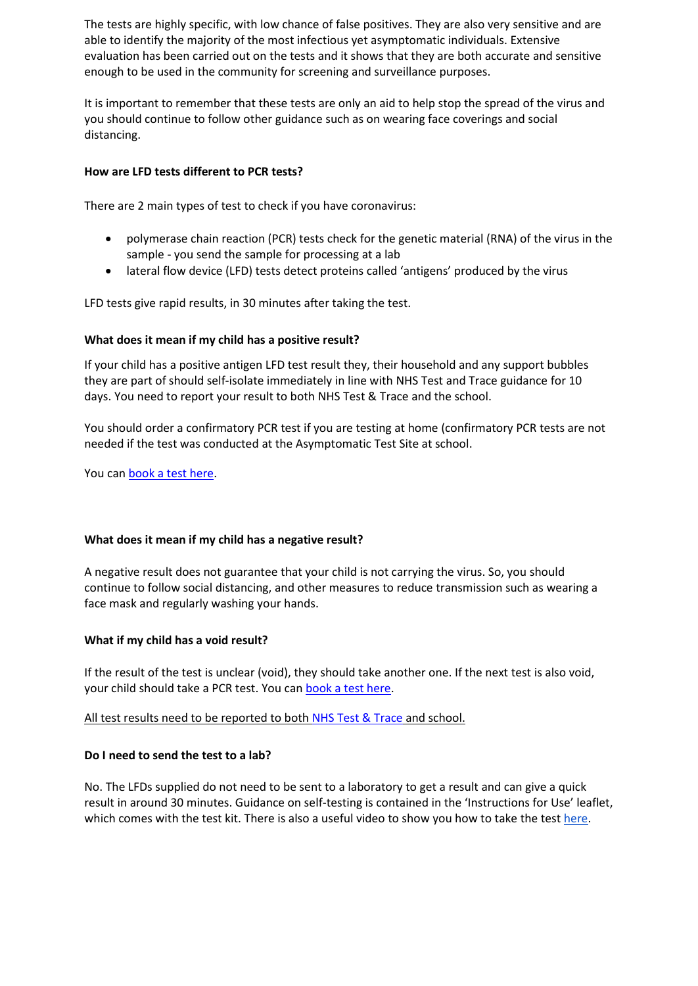The tests are highly specific, with low chance of false positives. They are also very sensitive and are able to identify the majority of the most infectious yet asymptomatic individuals. Extensive evaluation has been carried out on the tests and it shows that they are both accurate and sensitive enough to be used in the community for screening and surveillance purposes. 

It is important to remember that these tests are only an aid to help stop the spread of the virus and you should continue to follow other guidance such as on wearing face coverings and social distancing. 

### **How are LFD tests different to PCR tests?**

There are 2 main types of test to check if you have coronavirus:

- polymerase chain reaction (PCR) tests check for the genetic material (RNA) of the virus in the sample - you send the sample for processing at a lab
- lateral flow device (LFD) tests detect proteins called 'antigens' produced by the virus

LFD tests give rapid results, in 30 minutes after taking the test.

# **What does it mean if my child has a positive result?**

If your child has a positive antigen LFD test result they, their household and any support bubbles they are part of should self-isolate immediately in line with [NHS Test and Trace guidance](https://www.gov.uk/government/publications/covid-19-stay-at-home-guidance%22%20/t%20%22_blank) for 10 days. You need to report your result to both [NHS Test & Trace](https://www.gov.uk/report-covid19-result) and the school.

You should order a confirmatory PCR test if you are testing at home (confirmatory PCR tests are not needed if the test was conducted at the Asymptomatic Test Site at school.

You ca[n book a test here.](https://www.gov.uk/get-coronavirus-test)

### **What does it mean if my child has a negative result?**

A negative result does not guarantee that your child is not carrying the virus. So, you should continue to follow social distancing, and other measures to reduce transmission such as wearing a face mask and regularly washing your hands.

### **What if my child has a void result?**

If the result of the test is unclear (void), they should take another one. If the next test is also void, your child should take a PCR test. You can [book a test here.](https://www.gov.uk/get-coronavirus-test)

All test results need to be reported to both [NHS Test & Trace](https://www.gov.uk/report-covid19-result) and school.

### **Do I need to send the test to a lab?**

No. The LFDs supplied do not need to be sent to a laboratory to get a result and can give a quick result in around 30 minutes. Guidance on self-testing is contained in the 'Instructions for Use' leaflet, which comes with the test kit. There is also a useful video to show you how to take the test [here.](https://www.youtube.com/watch?v=S9XR8RZxKNo&list=PLvaBZskxS7tzQYlVg7lwH5uxAD9UrSzGJ&index=1)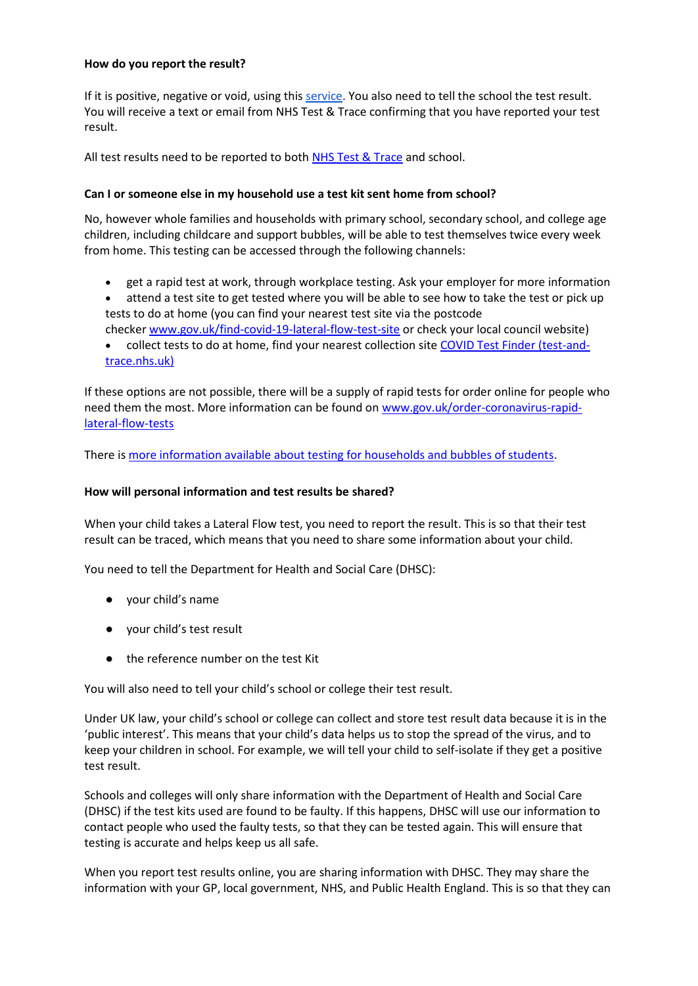#### **How do you report the result?**

If it is positive, negative or void, using this [service.](https://www.gov.uk/report-covid19-result) You also need to tell the school the test result. You will receive a text or email from NHS Test & Trace confirming that you have reported your test result.

All test results need to be reported to both **[NHS Test & Trace](https://www.gov.uk/report-covid19-result)** and school.

### **Can I or someone else in my household use a test kit sent home from school?**

No, however whole families and households with primary school, secondary school, and college age children, including childcare and support bubbles, will be able to test themselves twice every week from home. This testing can be accessed through the following channels:

- get a rapid test at work, through workplace testing. Ask your employer for more information
- attend a test site to get tested where you will be able to see how to take the test or pick up tests to do at home (you can find your nearest test site via the postcode checker [www.gov.uk/find-covid-19-lateral-flow-test-site](http://www.gov.uk/find-covid-19-lateral-flow-test-site) or check your local council website)
- collect tests to do at home, find your nearest collection site [COVID Test Finder \(test-and](https://find-covid-19-rapid-test-sites.maps.test-and-trace.nhs.uk/)[trace.nhs.uk\)](https://find-covid-19-rapid-test-sites.maps.test-and-trace.nhs.uk/)

If these options are not possible, there will be a supply of rapid tests for order online for people who need them the most. More information can be found on [www.gov.uk/order-coronavirus-rapid](http://www.gov.uk/order-coronavirus-rapid-lateral-flow-tests)[lateral-flow-tests](http://www.gov.uk/order-coronavirus-rapid-lateral-flow-tests)

There i[s more information available about testing for households and bubbles of students.](https://www.gov.uk/guidance/rapid-lateral-flow-testing-for-households-and-bubbles-of-school-pupils-and-staff)

# **How will personal information and test results be shared?**

When your child takes a Lateral Flow test, you need to report the result. This is so that their test result can be traced, which means that you need to share some information about your child.

You need to tell the Department for Health and Social Care (DHSC):

- your child's name
- your child's test result
- the reference number on the test Kit

You will also need to tell your child's school or college their test result.

Under UK law, your child's school or college can collect and store test result data because it is in the 'public interest'. This means that your child's data helps us to stop the spread of the virus, and to keep your children in school. For example, we will tell your child to self-isolate if they get a positive test result.

Schools and colleges will only share information with the Department of Health and Social Care (DHSC) if the test kits used are found to be faulty. If this happens, DHSC will use our information to contact people who used the faulty tests, so that they can be tested again. This will ensure that testing is accurate and helps keep us all safe.

When you report test results online, you are sharing information with DHSC. They may share the information with your GP, local government, NHS, and Public Health England. This is so that they can